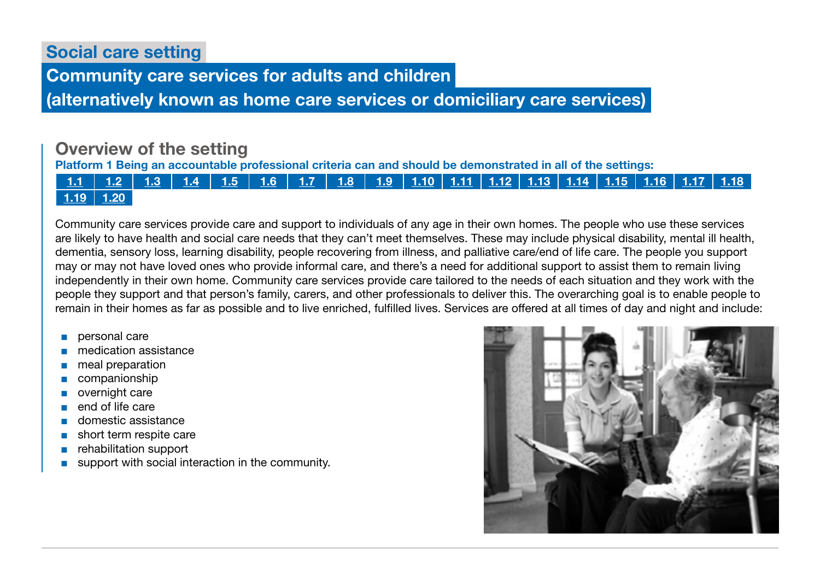Social care setting

Community care services for adults and children

(alternatively known as home care services or domiciliary care services)

# Overview of the setting

Platform 1 Being an accountable professional criteria can and should be demonstrated in all of the settings:



Community care services provide care and support to individuals of any age in their own homes. The people who use these services are likely to have health and social care needs that they can't meet themselves. These may include physical disability, mental ill health, dementia, sensory loss, learning disability, people recovering from illness, and palliative care/end of life care. The people you support may or may not have loved ones who provide informal care, and there's a need for additional support to assist them to remain living independently in their own home. Community care services provide care tailored to the needs of each situation and they work with the people they support and that person's family, carers, and other professionals to deliver this. The overarching goal is to enable people to remain in their homes as far as possible and to live enriched, fulfilled lives. Services are offered at all times of day and night and include:

- personal care
- medication assistance
- meal preparation
- companionship
- overnight care
- end of life care
- domestic assistance
- short term respite care
- rehabilitation support
- support with social interaction in the community.

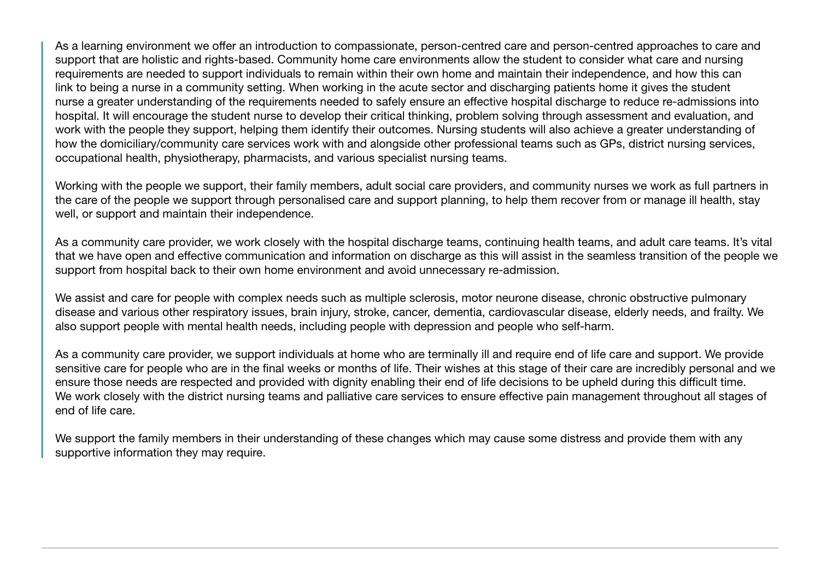As a learning environment we offer an introduction to compassionate, person-centred care and person-centred approaches to care and support that are holistic and rights-based. Community home care environments allow the student to consider what care and nursing requirements are needed to support individuals to remain within their own home and maintain their independence, and how this can link to being a nurse in a community setting. When working in the acute sector and discharging patients home it gives the student nurse a greater understanding of the requirements needed to safely ensure an effective hospital discharge to reduce re-admissions into hospital. It will encourage the student nurse to develop their critical thinking, problem solving through assessment and evaluation, and work with the people they support, helping them identify their outcomes. Nursing students will also achieve a greater understanding of how the domiciliary/community care services work with and alongside other professional teams such as GPs, district nursing services, occupational health, physiotherapy, pharmacists, and various specialist nursing teams.

Working with the people we support, their family members, adult social care providers, and community nurses we work as full partners in the care of the people we support through personalised care and support planning, to help them recover from or manage ill health, stay well, or support and maintain their independence.

As a community care provider, we work closely with the hospital discharge teams, continuing health teams, and adult care teams. It's vital that we have open and effective communication and information on discharge as this will assist in the seamless transition of the people we support from hospital back to their own home environment and avoid unnecessary re-admission.

We assist and care for people with complex needs such as multiple sclerosis, motor neurone disease, chronic obstructive pulmonary disease and various other respiratory issues, brain injury, stroke, cancer, dementia, cardiovascular disease, elderly needs, and frailty. We also support people with mental health needs, including people with depression and people who self-harm.

As a community care provider, we support individuals at home who are terminally ill and require end of life care and support. We provide sensitive care for people who are in the final weeks or months of life. Their wishes at this stage of their care are incredibly personal and we ensure those needs are respected and provided with dignity enabling their end of life decisions to be upheld during this difficult time. We work closely with the district nursing teams and palliative care services to ensure effective pain management throughout all stages of end of life care.

We support the family members in their understanding of these changes which may cause some distress and provide them with any supportive information they may require.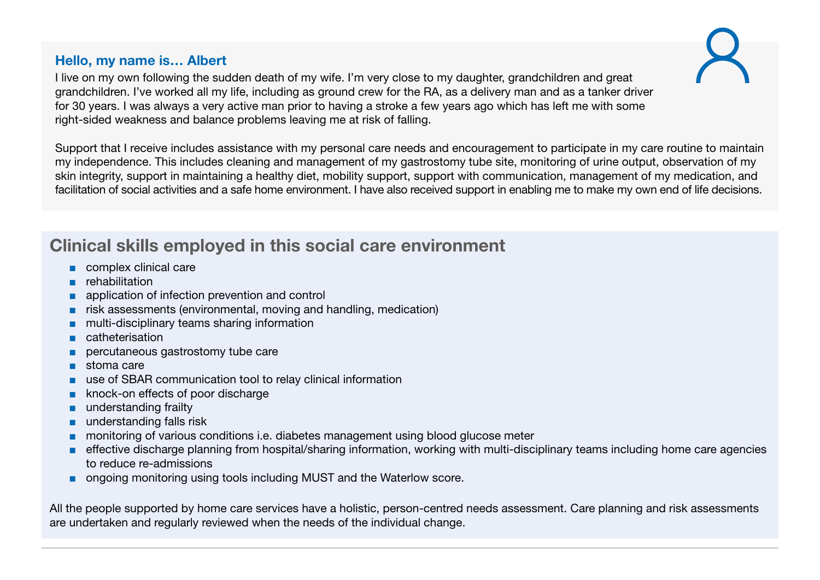## Hello, my name is… Albert

I live on my own following the sudden death of my wife. I'm very close to my daughter, grandchildren and great grandchildren. I've worked all my life, including as ground crew for the RA, as a delivery man and as a tanker driver for 30 years. I was always a very active man prior to having a stroke a few years ago which has left me with some right-sided weakness and balance problems leaving me at risk of falling.

Support that I receive includes assistance with my personal care needs and encouragement to participate in my care routine to maintain my independence. This includes cleaning and management of my gastrostomy tube site, monitoring of urine output, observation of my skin integrity, support in maintaining a healthy diet, mobility support, support with communication, management of my medication, and facilitation of social activities and a safe home environment. I have also received support in enabling me to make my own end of life decisions.

# Clinical skills employed in this social care environment

- complex clinical care
- rehabilitation
- application of infection prevention and control
- risk assessments (environmental, moving and handling, medication)
- multi-disciplinary teams sharing information
- catheterisation
- percutaneous gastrostomy tube care
- stoma care
- use of SBAR communication tool to relay clinical information
- knock-on effects of poor discharge
- understanding frailty
- understanding falls risk
- monitoring of various conditions i.e. diabetes management using blood glucose meter
- effective discharge planning from hospital/sharing information, working with multi-disciplinary teams including home care agencies to reduce re-admissions
- ongoing monitoring using tools including MUST and the Waterlow score.

All the people supported by home care services have a holistic, person-centred needs assessment. Care planning and risk assessments are undertaken and regularly reviewed when the needs of the individual change.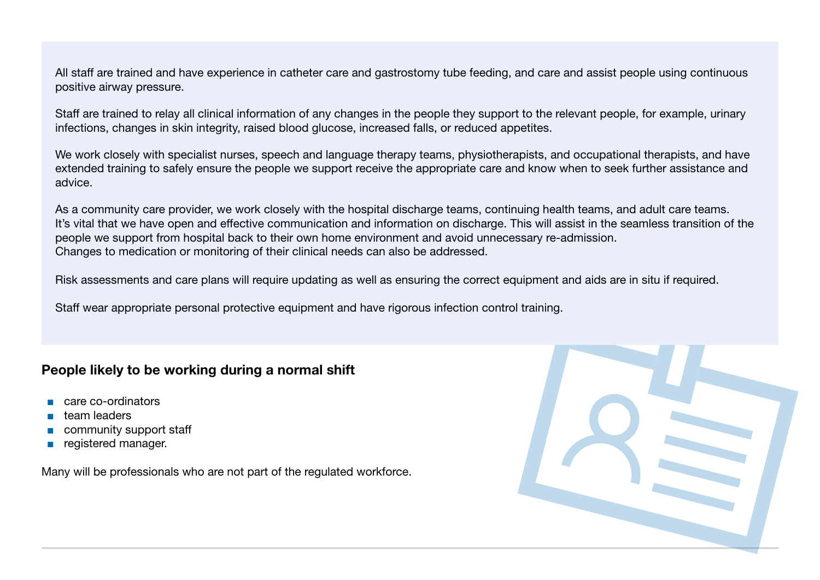All staff are trained and have experience in catheter care and gastrostomy tube feeding, and care and assist people using continuous positive airway pressure.

Staff are trained to relay all clinical information of any changes in the people they support to the relevant people, for example, urinary infections, changes in skin integrity, raised blood glucose, increased falls, or reduced appetites.

We work closely with specialist nurses, speech and language therapy teams, physiotherapists, and occupational therapists, and have extended training to safely ensure the people we support receive the appropriate care and know when to seek further assistance and advice.

As a community care provider, we work closely with the hospital discharge teams, continuing health teams, and adult care teams. It's vital that we have open and effective communication and information on discharge. This will assist in the seamless transition of the people we support from hospital back to their own home environment and avoid unnecessary re-admission. Changes to medication or monitoring of their clinical needs can also be addressed.

Risk assessments and care plans will require updating as well as ensuring the correct equipment and aids are in situ if required.

Staff wear appropriate personal protective equipment and have rigorous infection control training.

## People likely to be working during a normal shift

- care co-ordinators
- team leaders
- community support staff
- registered manager.

Many will be professionals who are not part of the regulated workforce.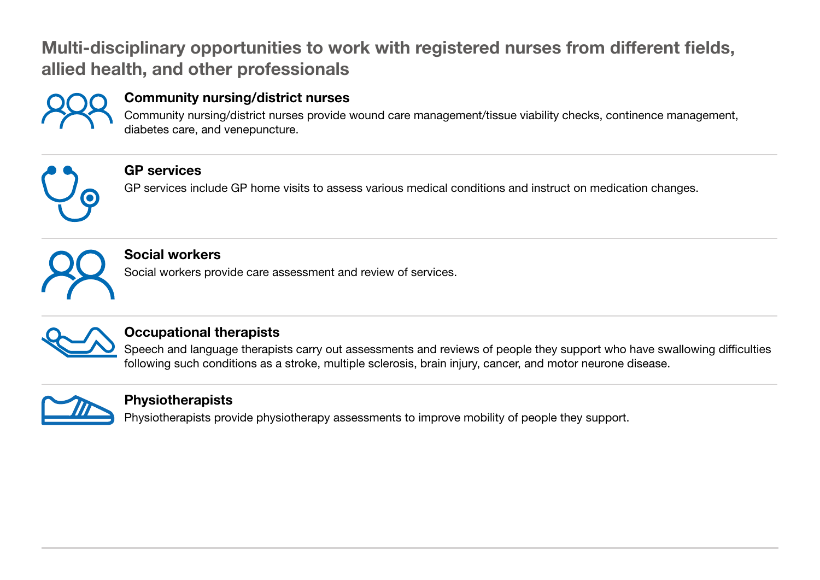# Multi-disciplinary opportunities to work with registered nurses from different fields, allied health, and other professionals



## Community nursing/district nurses

Community nursing/district nurses provide wound care management/tissue viability checks, continence management, diabetes care, and venepuncture.



## GP services

GP services include GP home visits to assess various medical conditions and instruct on medication changes.



## Social workers

Social workers provide care assessment and review of services.



# Occupational therapists

Speech and language therapists carry out assessments and reviews of people they support who have swallowing difficulties following such conditions as a stroke, multiple sclerosis, brain injury, cancer, and motor neurone disease.



## Physiotherapists

Physiotherapists provide physiotherapy assessments to improve mobility of people they support.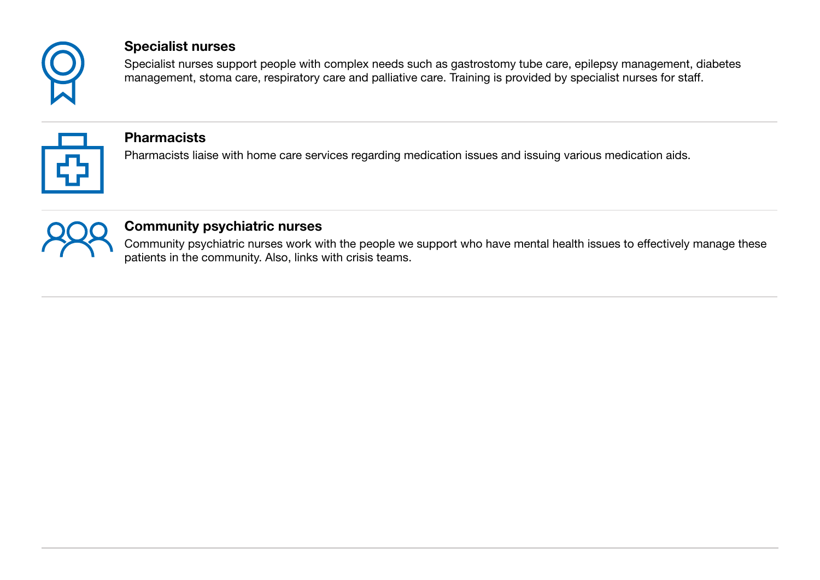

### Specialist nurses

Specialist nurses support people with complex needs such as gastrostomy tube care, epilepsy management, diabetes management, stoma care, respiratory care and palliative care. Training is provided by specialist nurses for staff.



#### **Pharmacists**

Pharmacists liaise with home care services regarding medication issues and issuing various medication aids.



## Community psychiatric nurses

Community psychiatric nurses work with the people we support who have mental health issues to effectively manage these patients in the community. Also, links with crisis teams.